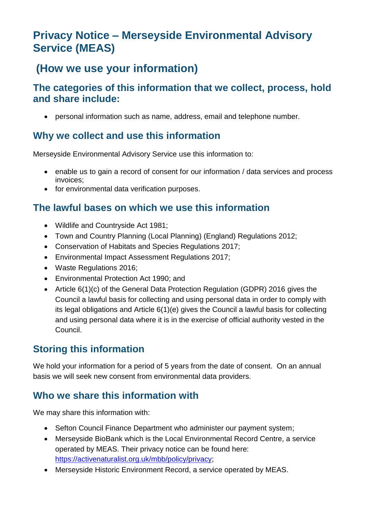# **Privacy Notice – Merseyside Environmental Advisory Service (MEAS)**

## **(How we use your information)**

#### **The categories of this information that we collect, process, hold and share include:**

• personal information such as name, address, email and telephone number.

## **Why we collect and use this information**

Merseyside Environmental Advisory Service use this information to:

- enable us to gain a record of consent for our information / data services and process invoices;
- for environmental data verification purposes.

#### **The lawful bases on which we use this information**

- Wildlife and Countryside Act 1981;
- Town and Country Planning (Local Planning) (England) Regulations 2012;
- Conservation of Habitats and Species Regulations 2017;
- Environmental Impact Assessment Regulations 2017;
- Waste Regulations 2016;
- Environmental Protection Act 1990; and
- Article 6(1)(c) of the General Data Protection Regulation (GDPR) 2016 gives the Council a lawful basis for collecting and using personal data in order to comply with its legal obligations and Article 6(1)(e) gives the Council a lawful basis for collecting and using personal data where it is in the exercise of official authority vested in the Council.

## **Storing this information**

We hold your information for a period of 5 years from the date of consent. On an annual basis we will seek new consent from environmental data providers.

#### **Who we share this information with**

We may share this information with:

- Sefton Council Finance Department who administer our payment system;
- Merseyside BioBank which is the Local Environmental Record Centre, a service operated by MEAS. Their privacy notice can be found here: [https://activenaturalist.org.uk/mbb/policy/privacy;](https://activenaturalist.org.uk/mbb/policy/privacy)
- Merseyside Historic Environment Record, a service operated by MEAS.